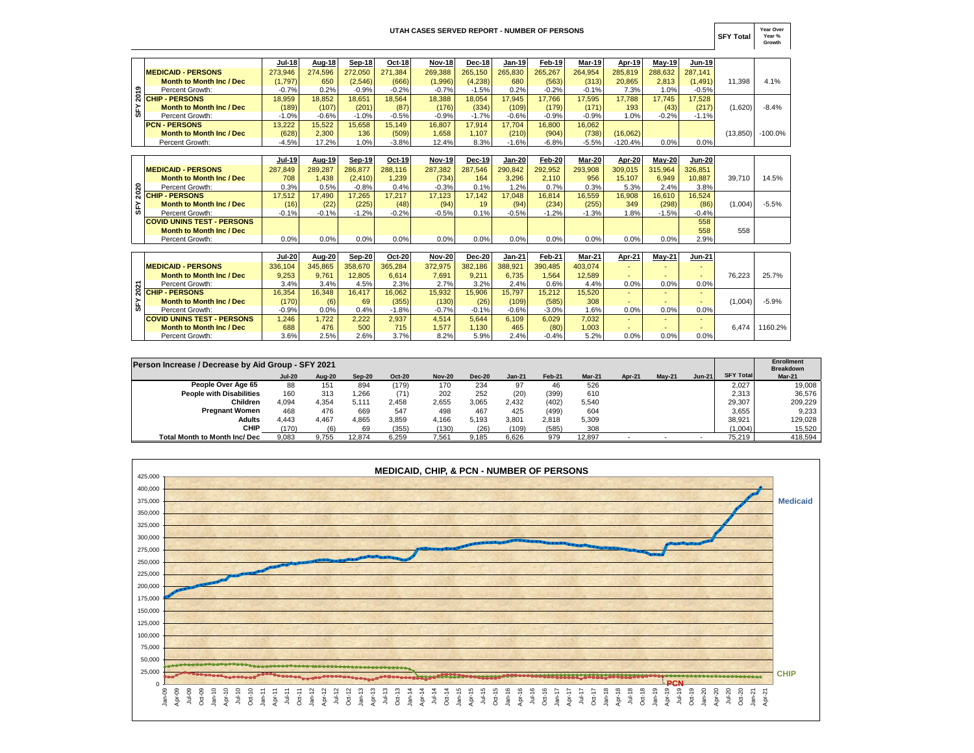## **UTAH CASES SERVED REPORT - NUMBER OF PERSONS**

**SFY Total Year Over Year % Growth**

|   |                                 | <b>Jul-18</b> | Aug-18  | Sep-18  | Oct-18  | <b>Nov-18</b> | $Dec-18$ | Jan-19  | Feb-19  | <b>Mar-19</b> | Apr-19    | $May-19$ | <b>Jun-19</b> |          |           |
|---|---------------------------------|---------------|---------|---------|---------|---------------|----------|---------|---------|---------------|-----------|----------|---------------|----------|-----------|
|   | <b>MEDICAID - PERSONS</b>       | 273.946       | 274.596 | 272.050 | 271.384 | 269.388       | 265.150  | 265.830 | 265.267 | 264.954       | 285.819   | 288.632  | 287,141       |          |           |
|   | <b>Month to Month Inc / Dec</b> | (1,797)       | 650     | (2,546) | (666)   | (1,996)       | (4,238)  | 680     | (563)   | (313)         | 20,865    | 2.813    | (1.491)       | 11.398   | 4.1%      |
| ຶ | Percent Growth:                 | $-0.7%$       | 0.2%    | $-0.9%$ | $-0.2%$ | $-0.7%$       | $-1.5%$  | 0.2%    | $-0.2%$ | $-0.1%$       | 7.3%      | 1.0%     | $-0.5%$       |          |           |
|   | <u> ଟି CHIP - PERSONS</u>       | 18.959        | 18.852  | 18.651  | 18.564  | 18,388        | 18.054   | 17.945  | 17.766  | 17.595        | 17.788    | 17.745   | 17,528        |          |           |
|   | <b>Month to Month Inc / Dec</b> | (189)         | (107)   | (201)   | (87)    | (176)         | (334)    | (109)   | (179)   | (171)         | 193       | (43)     | (217)         | (1,620)  | $-8.4%$   |
| ₩ | Percent Growth:                 | $-1.0%$       | $-0.6%$ | $-1.0%$ | $-0.5%$ | $-0.9%$       | $-1.7%$  | $-0.6%$ | $-0.9%$ | -0.9%         | 1.0%      | $-0.2%$  | $-1.1%$       |          |           |
|   | <b>PCN - PERSONS</b>            | 13.222        | 15.522  | 15.658  | 15.149  | 16.807        | 17.914   | 17.704  | 16,800  | 16.062        |           |          |               |          |           |
|   | <b>Month to Month Inc / Dec</b> | (628)         | 2,300   | 136     | (509)   | 1,658         | 1.107    | (210)   | (904)   | (738)         | (16,062)  |          |               | (13.850) | $-100.0%$ |
|   | Percent Growth:                 | $-4.5%$       | 17.2%   | 1.0%    | $-3.8%$ | 12.4%         | 8.3%     | $-1.6%$ | $-6.8%$ | $-5.5%$       | $-120.4%$ | 0.0%     | 0.0%          |          |           |

|     |                                   | <b>Jul-19</b> | Aug-19  | Sep-19   | Oct-19  | <b>Nov-19</b> | <b>Dec-19</b> | Jan-20  | Feb-20  | Mar-20  | Apr-20  | Mav-20  | <b>Jun-20</b> |         |         |
|-----|-----------------------------------|---------------|---------|----------|---------|---------------|---------------|---------|---------|---------|---------|---------|---------------|---------|---------|
|     | <b>MEDICAID - PERSONS</b>         | 287,849       | 289.287 | 286.877  | 288.116 | 287.382       | 287.546       | 290.842 | 292.952 | 293.908 | 309.015 | 315.964 | 326.851       |         |         |
|     | <b>Month to Month Inc / Dec</b>   | 708           | 1.438   | (2, 410) | 1.239   | (734)         | 164           | 3.296   | 2.110   | 956     | 15.107  | 6.949   | 10.887        | 39.710  | 14.5%   |
| ន   | Percent Growth:                   | 0.3%          | 0.5%    | $-0.8%$  | 0.4%    | $-0.3%$       | 0.1%          | 2%      | 0.7%    | 0.3%    | 5.3%    | 2.4%    | 3.8%          |         |         |
|     | <b>ର CHIP - PERSONS</b>           | 7.512         | 17.490  | 17.265   | 17.217  | 17.123        | 17.142        | 17.048  | 16.814  | 16.559  | 16,908  | 16.610  | 16.524        |         |         |
| S۴۲ | <b>Month to Month Inc / Dec</b>   | (16)          | (22)    | (225)    | (48)    | (94)          | 19            | (94)    | (234)   | (255)   | 349     | (298)   | (86)          | (1,004) | $-5.5%$ |
|     | Percent Growth:                   | $-0.1%$       | $-0.1%$ | $-1.2%$  | $-0.2%$ | $-0.5%$       | 0.1%          | $-0.5%$ | $-1.2%$ | $-1.3%$ | $.8\%$  | $-1.5%$ | $-0.4%$       |         |         |
|     | <b>COVID UNINS TEST - PERSONS</b> |               |         |          |         |               |               |         |         |         |         |         | 558           |         |         |
|     | <b>Month to Month Inc / Dec</b>   |               |         |          |         |               |               |         |         |         |         |         | 558           | 558     |         |
|     | Percent Growth:                   | $0.0\%$       | $0.0\%$ | 0.0%     | 0.0%    | 0.0%          | 0.0%          | 0.0%    | 0.0%    | 0.0%    | $0.0\%$ | 0.0%    | 2.9%          |         |         |

| ຶ    | Percent Growth:                                    | $-0.7%$       | 0.2%          | $-0.9%$  | $-0.2%$ | $-0.7%$       | $-1.5%$       | 0.2%          | $-0.2%$       | $-0.1%$ | 7.3%      | 1.0%          | $-0.5%$                |           |           |
|------|----------------------------------------------------|---------------|---------------|----------|---------|---------------|---------------|---------------|---------------|---------|-----------|---------------|------------------------|-----------|-----------|
| 201  | <b>CHIP - PERSONS</b>                              | 18.959        | 18.852        | 18,651   | 18.564  | 18.388        | 18.054        | 17.945        | 17.766        | 17,595  | 17.788    | 17.745        | 17,528                 |           |           |
| SF٢  | <b>Month to Month Inc / Dec</b>                    | (189)         | (107)         | (201)    | (87)    | (176)         | (334)         | (109)         | (179)         | (171)   | 193       | (43)          | (217)                  | (1,620)   | $-8.4%$   |
|      | Percent Growth:                                    | $-1.0%$       | $-0.6%$       | $-1.0%$  | $-0.5%$ | $-0.9%$       | $-1.7%$       | $-0.6%$       | $-0.9%$       | $-0.9%$ | 1.0%      | $-0.2%$       | $-1.1%$                |           |           |
|      | <b>PCN - PERSONS</b>                               | 13,222        | 15,522        | 15,658   | 15.149  | 16.807        | 17.914        | 17.704        | 16,800        | 16,062  |           |               |                        |           |           |
|      | <b>Month to Month Inc / Dec</b>                    | (628)         | 2,300         | 136      | (509)   | 1,658         | 1.107         | (210)         | (904)         | (738)   | (16,062)  |               |                        | (13, 850) | $-100.0%$ |
|      | Percent Growth:                                    | $-4.5%$       | 17.2%         | 1.0%     | $-3.8%$ | 12.4%         | 8.3%          | $-1.6%$       | $-6.8%$       | $-5.5%$ | $-120.4%$ | 0.0%          | 0.0%                   |           |           |
|      |                                                    |               |               |          |         |               |               |               |               |         |           |               |                        |           |           |
|      |                                                    | <b>Jul-19</b> | <b>Aug-19</b> | Sep-19   | Oct-19  | <b>Nov-19</b> | <b>Dec-19</b> | Jan-20        | <b>Feb-20</b> | Mar-20  | Apr-20    | $May-20$      | <b>Jun-20</b>          |           |           |
|      | <b>MEDICAID - PERSONS</b>                          | 287.849       | 289,287       | 286,877  | 288.116 | 287,382       | 287,546       | 290,842       | 292,952       | 293,908 | 309.015   | 315.964       | 326.851                |           |           |
|      | <b>Month to Month Inc / Dec</b>                    | 708           | 1.438         | (2, 410) | 1.239   | (734)         | 164           | 3.296         | 2.110         | 956     | 15.107    | 6.949         | 10.887                 | 39.710    | 14.5%     |
| ន    | Percent Growth:                                    | 0.3%          | 0.5%          | $-0.8%$  | 0.4%    | $-0.3%$       | 0.1%          | 1.2%          | 0.7%          | 0.3%    | 5.3%      | 2.4%          | 3.8%                   |           |           |
| ສ    | <b>CHIP - PERSONS</b>                              | 17,512        | 17,490        | 17,265   | 17,217  | 17,123        | 17.142        | 17,048        | 16,814        | 16,559  | 16,908    | 16,610        | 16,524                 |           |           |
| Š۲   | <b>Month to Month Inc / Dec</b>                    | (16)          | (22)          | (225)    | (48)    | (94)          | 19            | (94)          | (234)         | (255)   | 349       | (298)         | (86)                   | (1,004)   | $-5.5%$   |
|      | Percent Growth:                                    | $-0.1%$       | $-0.1%$       | $-1.2%$  | $-0.2%$ | $-0.5%$       | 0.1%          | $-0.5%$       | $-1.2%$       | $-1.3%$ | 1.8%      | $-1.5%$       | $-0.4%$                |           |           |
|      | <b>COVID UNINS TEST - PERSONS</b>                  |               |               |          |         |               |               |               |               |         |           |               | 558                    |           |           |
|      | <b>Month to Month Inc / Dec</b>                    |               |               |          |         |               |               |               |               |         |           |               | 558                    | 558       |           |
|      | Percent Growth:                                    | 0.0%          | 0.0%          | 0.0%     | 0.0%    | 0.0%          | 0.0%          | 0.0%          | 0.0%          | 0.0%    | 0.0%      | 0.0%          | 2.9%                   |           |           |
|      |                                                    |               |               |          |         |               |               |               |               |         |           |               |                        |           |           |
|      |                                                    | <b>Jul-20</b> | Aug-20        | Sep-20   | Oct-20  | <b>Nov-20</b> | <b>Dec-20</b> | <b>Jan-21</b> | Feb-21        | Mar-21  | Apr-21    | <b>May-21</b> | <b>Jun-21</b>          |           |           |
|      | <b>MEDICAID - PERSONS</b>                          | 336,104       | 345,865       | 358,670  | 365,284 | 372,975       | 382,186       | 388,921       | 390.485       | 403.074 | $\sim$    |               |                        |           |           |
|      | <b>Month to Month Inc / Dec</b>                    | 9,253         | 9.761         | 12,805   | 6,614   | 7,691         | 9.211         | 6.735         | 1.564         | 12,589  |           |               |                        | 76.223    | 25.7%     |
| 2021 | Percent Growth:                                    | 3.4%          | 3.4%          | 4.5%     | 2.3%    | 2.7%          | 3.2%          | 2.4%          | 0.6%          | 4.4%    | 0.0%      | 0.0%          | 0.0%                   |           |           |
|      | <b>CHIP - PERSONS</b>                              | 16,354        | 16,348        | 16,417   | 16,062  | 15,932        | 15,906        | 15,797        | 15,212        | 15,520  |           |               |                        |           |           |
| Š۴   | <b>Month to Month Inc / Dec</b>                    | (170)         | (6)           | 69       | (355)   | (130)         | (26)          | (109)         | (585)         | 308     |           |               |                        | (1,004)   | $-5.9%$   |
|      | Percent Growth:                                    | $-0.9%$       | 0.0%          | 0.4%     | $-1.8%$ | $-0.7%$       | $-0.1%$       | $-0.6%$       | $-3.0%$       | 1.6%    | 0.0%      | 0.0%          | 0.0%                   |           |           |
|      | <b>COVID UNINS TEST - PERSONS</b>                  | 1.246         | 1.722         | 2,222    | 2.937   | 4.514         | 5.644         | 6.109         | 6.029         | 7.032   |           |               |                        |           |           |
|      | <b>Month to Month Inc / Dec</b>                    | 688           | 476           | 500      | 715     | 1,577         | 1,130         | 465           | (80)          | 1,003   |           |               |                        | 6.474     | 1160.2%   |
|      | Percent Growth:                                    | 3.6%          | 2.5%          | 2.6%     | 3.7%    | 8.2%          | 5.9%          | 2.4%          | $-0.4%$       | 5.2%    | 0.0%      | 0.0%          | 0.0%                   |           |           |
|      |                                                    |               |               |          |         |               |               |               |               |         |           |               |                        |           |           |
|      |                                                    |               |               |          |         |               |               |               |               |         |           |               |                        |           |           |
|      | Person Increase / Decrease by Aid Group - SFY 2021 |               |               |          |         |               |               |               |               |         |           |               | Enroll<br><b>Draak</b> |           |           |

| Person Increase / Decrease by Aid Group - SFY 2021 |               |               |        |               |               |               |          |        |        |               |               |               |                  | Enrollment<br><b>Breakdown</b> |
|----------------------------------------------------|---------------|---------------|--------|---------------|---------------|---------------|----------|--------|--------|---------------|---------------|---------------|------------------|--------------------------------|
|                                                    | <b>Jul-20</b> | <b>Aug-20</b> | Sep-20 | <b>Oct-20</b> | <b>Nov-20</b> | <b>Dec-20</b> | $Jan-21$ | Feb-21 | Mar-21 | <b>Apr-21</b> | <b>Mav-21</b> | <b>Jun-21</b> | <b>SFY Total</b> | Mar-21                         |
| People Over Age 65                                 | 88            | 151           | 894    | (179)         | 170           | 234           | 97       | 46     | 526    |               |               |               | 2.027            | 19,008                         |
| <b>People with Disabilities</b>                    | 160           | 313           | .266   | (71)          | 202           | 252           | (20)     | (399)  | 610    |               |               |               | 2.313            | 36,576                         |
| Children                                           | 4.094         | 4.354         | 5.111  | 2.458         | 2.655         | 3.065         | 2.432    | (402)  | 5,540  |               |               |               | 29.307           | 209.229                        |
| <b>Pregnant Women</b>                              | 468           | 476           | 669    | 547           | 498           | 467           | 425      | (499)  | 604    |               |               |               | 3.655            | 9,233                          |
| <b>Adults</b>                                      | 4.443         | 4.467         | 4.865  | 3,859         | 4.166         | 5.193         | 3.801    | 2.818  | 5,309  |               |               |               | 38.921           | 129,028                        |
| <b>CHIP</b>                                        | (170)         |               | 69     | (355)         | (130)         | (26)          | (109)    | (585)  | 308    |               |               |               | (1,004)          | 15,520                         |
| <b>Total Month to Month Inc/ Dec</b>               | 9.083         | 9.755         | 12.874 | 6.259         | 7.561         | 9.185         | 6.626    | 979    | 12.897 | -             |               |               | 75.219           | 418.594                        |